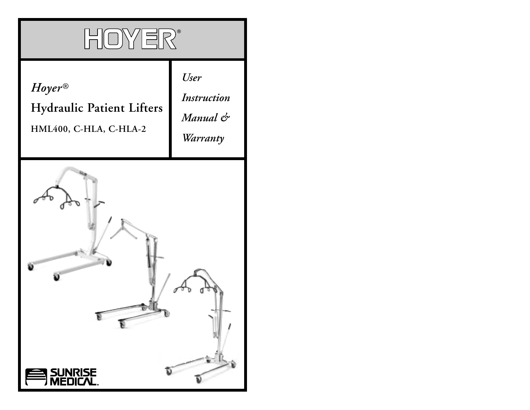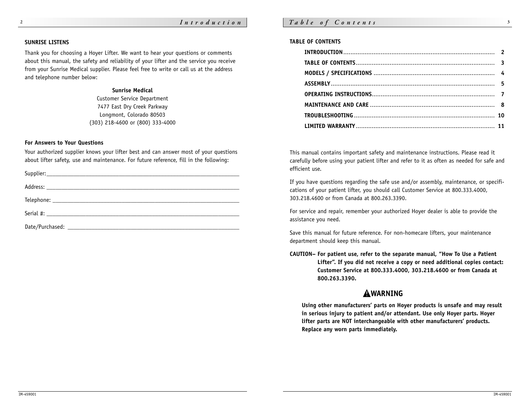# *Ta b l <sup>e</sup> <sup>o</sup> f Co <sup>n</sup> <sup>t</sup> <sup>e</sup> <sup>n</sup> <sup>t</sup> <sup>s</sup>* **<sup>3</sup>**

#### **SUNRISE LISTENS**

Thank you for choosing a Hoyer Lifter. We want to hear your questions or comments about this manual, the safety and reliability of your lifter and the service you receive from your Sunrise Medical supplier. Please feel free to write or call us at the address and telephone number below:

## **Sunrise Medical**

Customer Service Department 7477 East Dry Creek Parkway Longmont, Colorado 80503 (303) 218-4600 or (800) 333-4000

## **For Answers to Your Questions**

Your authorized supplier knows your lifter best and can answer most of your questions about lifter safety, use and maintenance. For future reference, fill in the following:

### **TABLE OF CONTENTS**

This manual contains important safety and maintenance instructions. Please read it carefully before using your patient lifter and refer to it as often as needed for safe and efficient use.

If you have questions regarding the safe use and/or assembly, maintenance, or specifications of your patient lifter, you should call Customer Service at 800.333.4000, 303.218.4600 or from Canada at 800.263.3390.

For service and repair, remember your authorized Hoyer dealer is able to provide the assistance you need.

Save this manual for future reference. For non-homecare lifters, your maintenance department should keep this manual.

**CAUTION– For patient use, refer to the separate manual, "How To Use a Patient Lifter". If you did not receive a copy or need additional copies contact: Customer Service at 800.333.4000, 303.218.4600 or from Canada at 800.263.3390.**

# **AWARNING**

**Using other manufacturers' parts on Hoyer products is unsafe and may result in serious injury to patient and/or attendant. Use only Hoyer parts. Hoyer lifter parts are NOT interchangeable with other manufacturers' products. Replace any worn parts immediately.**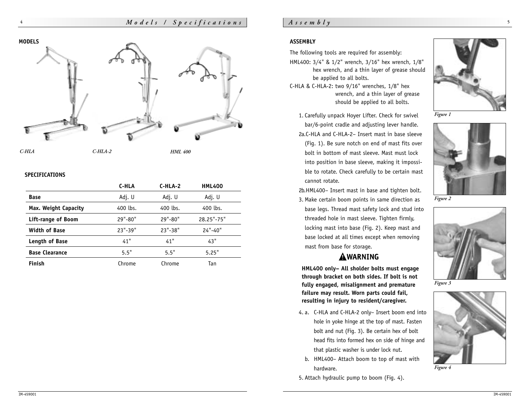**MODELS**

**4**



# **SPECIFICATIONS**

|                       | C-HLA       | $C-HLA-2$   | <b>HML400</b> |
|-----------------------|-------------|-------------|---------------|
| <b>Base</b>           | Adj. U      | Adj. U      | Adj. U        |
| Max. Weight Capacity  | 400 lbs.    | 400 lbs.    | 400 lbs.      |
| Lift-range of Boom    | $29" - 80"$ | $29" - 80"$ | 28.25"-75"    |
| <b>Width of Base</b>  | $23" - 39"$ | $23" - 38"$ | $24" - 40"$   |
| Length of Base        | 41"         | 41"         | 43"           |
| <b>Base Clearance</b> | 5.5"        | 5.5"        | 5.25"         |
| <b>Finish</b>         | Chrome      | Chrome      | Tan           |

# $A$  *s s e*  $m$   $b$   $l$   $y$

# **ASSEMBLY**

The following tools are required for assembly: HML400: 3/4" & 1/2" wrench, 3/16" hex wrench, 1/8" hex wrench, and a thin layer of grease should be applied to all bolts.

C-HLA & C-HLA-2: two 9/16" wrenches, 1/8" hex wrench, and a thin layer of grease should be applied to all bolts.



1. Carefully unpack Hoyer Lifter. Check for swivel bar/6-point cradle and adjusting lever handle. 2a.C-HLA and C-HLA-2– Insert mast in base sleeve (Fig. 1). Be sure notch on end of mast fits over bolt in bottom of mast sleeve. Mast must lock into position in base sleeve, making it impossible to rotate. Check carefully to be certain mast cannot rotate.

2b.HML400– Insert mast in base and tighten bolt.

3. Make certain boom points in same direction as base legs. Thread mast safety lock and stud into threaded hole in mast sleeve. Tighten firmly, locking mast into base (Fig. 2). Keep mast and base locked at all times except when removing mast from base for storage.

# AWARNING

**HML400 only– All sholder bolts must engage through bracket on both sides. If bolt is not fully engaged, misalignment and premature failure may result. Worn parts could fail, resulting in injury to resident/caregiver.**

- 4. a. C-HLA and C-HLA-2 only– Insert boom end into hole in yoke hinge at the top of mast. Fasten bolt and nut (Fig. 3). Be certain hex of bolt head fits into formed hex on side of hinge and that plastic washer is under lock nut.
	- b. HML400– Attach boom to top of mast with hardware.
- 5. Attach hydraulic pump to boom (Fig. 4).



*Figure 2*



*Figure 3*



*Figure 4*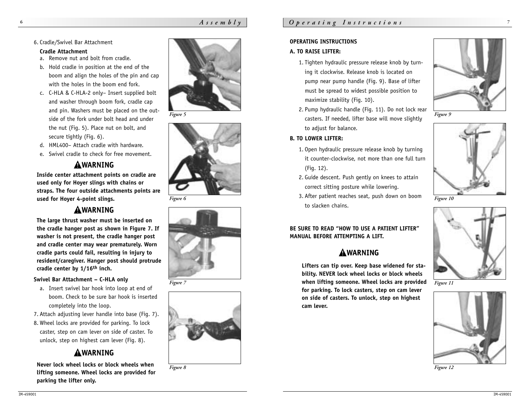# *Assembly*

### 6. Cradle/Swivel Bar Attachment

#### **Cradle Attachment**

**6**

- a. Remove nut and bolt from cradle.
- b. Hold cradle in position at the end of the boom and align the holes of the pin and cap with the holes in the boom end fork.
- c. C-HLA & C-HLA-2 only– Insert supplied bolt and washer through boom fork, cradle cap and pin. Washers must be placed on the outside of the fork under bolt head and under the nut (Fig. 5). Place nut on bolt, and secure tightly (Fig. 6).
- d. HML400– Attach cradle with hardware.
- e. Swivel cradle to check for free movement.

# **AWARNING**

**Inside center attachment points on cradle are used only for Hoyer slings with chains or straps. The four outside attachments points are used for Hoyer 4-point slings.**

# **AWARNING**

**The large thrust washer must be inserted on the cradle hanger post as shown in Figure 7. If washer is not present, the cradle hanger post and cradle center may wear prematurely. Worn cradle parts could fail, resulting in injury to resident/caregiver. Hanger post should protrude cradle center by 1/16th inch.** 

## **Swivel Bar Attachment – C-HLA only**

a. Insert swivel bar hook into loop at end of boom. Check to be sure bar hook is inserted completely into the loop.

7. Attach adjusting lever handle into base (Fig. 7). 8. Wheel locks are provided for parking. To lock caster, step on cam lever on side of caster. To unlock, step on highest cam lever (Fig. 8).

# **AWARNING**

**Never lock wheel locks or block wheels when lifting someone. Wheel locks are provided for parking the lifter only.**



*Figure 5*



*Figure 6*



*Figure 7*





### **OPERATING INSTRUCTIONS**

## **A. TO RAISE LIFTER:**

- 1. Tighten hydraulic pressure release knob by turning it clockwise. Release knob is located on pump near pump handle (Fig. 9). Base of lifter must be spread to widest possible position to maximize stability (Fig. 10).
- 2. Pump hydraulic handle (Fig. 11). Do not lock rear casters. If needed, lifter base will move slightly to adjust for balance.



- 1. Open hydraulic pressure release knob by turning it counter-clockwise, not more than one full turn (Fig. 12).
- 2. Guide descent. Push gently on knees to attain correct sitting posture while lowering.
- 3. After patient reaches seat, push down on boom to slacken chains.

**BE SURE TO READ "HOW TO USE A PATIENT LIFTER" MANUAL BEFORE ATTEMPTING A LIFT.**

# **AWARNING**

**Lifters can tip over. Keep base widened for stability. NEVER lock wheel locks or block wheels when lifting someone. Wheel locks are provided for parking. To lock casters, step on cam lever on side of casters. To unlock, step on highest cam lever.**







*Figure 10*



*Figure 11*



*Figure 12*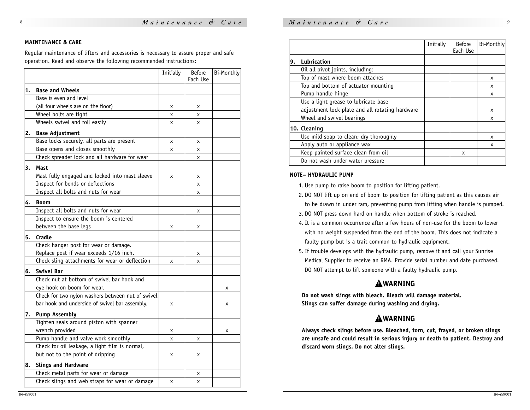## *Maintenance & Care*

#### **MAINTENANCE & CARE**

Regular maintenance of lifters and accessories is necessary to assure proper and safe operation. Read and observe the following recommended instructions:

|    |                                                   | Initially | <b>Before</b><br>Each Use | Bi-Monthly |
|----|---------------------------------------------------|-----------|---------------------------|------------|
| 1. | <b>Base and Wheels</b>                            |           |                           |            |
|    | Base is even and level                            |           |                           |            |
|    | (all four wheels are on the floor)                | x         | x                         |            |
|    | Wheel bolts are tight                             | X         | x                         |            |
|    | Wheels swivel and roll easily                     | X         | x                         |            |
| 2. | <b>Base Adjustment</b>                            |           |                           |            |
|    | Base locks securely, all parts are present        | X         | x                         |            |
|    | Base opens and closes smoothly                    | x         | X                         |            |
|    | Check spreader lock and all hardware for wear     |           | x                         |            |
| 3. | Mast                                              |           |                           |            |
|    | Mast fully engaged and locked into mast sleeve    | x         | X                         |            |
|    | Inspect for bends or deflections                  |           | x                         |            |
|    | Inspect all bolts and nuts for wear               |           | x                         |            |
| 4. | <b>Boom</b>                                       |           |                           |            |
|    | Inspect all bolts and nuts for wear               |           | x                         |            |
|    | Inspect to ensure the boom is centered            |           |                           |            |
|    | between the base legs                             | x         | x                         |            |
| 5. | Cradle                                            |           |                           |            |
|    | Check hanger post for wear or damage.             |           |                           |            |
|    | Replace post if wear exceeds 1/16 inch.           |           | x                         |            |
|    | Check sling attachments for wear or deflection    | x         | X                         |            |
| 6. | <b>Swivel Bar</b>                                 |           |                           |            |
|    | Check nut at bottom of swivel bar hook and        |           |                           |            |
|    | eye hook on boom for wear.                        |           |                           | x          |
|    | Check for two nylon washers between nut of swivel |           |                           |            |
|    | bar hook and underside of swivel bar assembly.    | x         |                           | x          |
| 7. | <b>Pump Assembly</b>                              |           |                           |            |
|    | Tighten seals around piston with spanner          |           |                           |            |
|    | wrench provided                                   | x         |                           | х          |
|    | Pump handle and valve work smoothly               | X         | X                         |            |
|    | Check for oil leakage, a light film is normal,    |           |                           |            |
|    | but not to the point of dripping                  | x         | x                         |            |
| 8. | <b>Slings and Hardware</b>                        |           |                           |            |
|    | Check metal parts for wear or damage              |           | x                         |            |
|    | Check slings and web straps for wear or damage    | x         | x                         |            |
|    |                                                   |           |                           |            |

|    |                                                 | Initially | <b>Before</b><br>Each Use | Bi-Monthly |
|----|-------------------------------------------------|-----------|---------------------------|------------|
| 9. | Lubrication                                     |           |                           |            |
|    | Oil all pivot joints, including:                |           |                           |            |
|    | Top of mast where boom attaches                 |           |                           | x          |
|    | Top and bottom of actuator mounting             |           |                           | x          |
|    | Pump handle hinge                               |           |                           | x          |
|    | Use a light grease to lubricate base            |           |                           |            |
|    | adjustment lock plate and all rotating hardware |           |                           | x          |
|    | Wheel and swivel bearings                       |           |                           | X          |
|    | 10. Cleaning                                    |           |                           |            |
|    | Use mild soap to clean; dry thoroughly          |           |                           | X          |
|    | Apply auto or appliance wax                     |           |                           | x          |
|    | Keep painted surface clean from oil             |           | x                         |            |
|    | Do not wash under water pressure                |           |                           |            |
|    |                                                 |           |                           |            |

### **NOTE– HYDRAULIC PUMP**

1. Use pump to raise boom to position for lifting patient.

- 2. DO NOT lift up on end of boom to position for lifting patient as this causes air
- to be drawn in under ram, preventing pump from lifting when handle is pumped.
- 3. DO NOT press down hard on handle when bottom of stroke is reached.
- 4. It is a common occurrence after a few hours of non-use for the boom to lower with no weight suspended from the end of the boom. This does not indicate a faulty pump but is a trait common to hydraulic equipment.
- 5. If trouble develops with the hydraulic pump, remove it and call your Sunrise Medical Supplier to receive an RMA. Provide serial number and date purchased. DO NOT attempt to lift someone with a faulty hydraulic pump.

# **AWARNING**

**Do not wash slings with bleach. Bleach will damage material. Slings can suffer damage during washing and drying.**

# **AWARNING**

**Always check slings before use. Bleached, torn, cut, frayed, or broken slings are unsafe and could result in serious injury or death to patient. Destroy and discard worn slings. Do not alter slings.**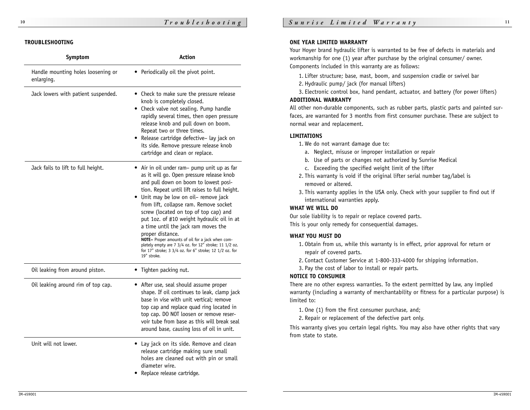| Symptom                                          | <b>Action</b>                                                                                                                                                                                                                                                                                                                                                                                                                                                                                                                                                                                                    |  |  |  |
|--------------------------------------------------|------------------------------------------------------------------------------------------------------------------------------------------------------------------------------------------------------------------------------------------------------------------------------------------------------------------------------------------------------------------------------------------------------------------------------------------------------------------------------------------------------------------------------------------------------------------------------------------------------------------|--|--|--|
| Handle mounting holes loosening or<br>enlarging. | • Periodically oil the pivot point.                                                                                                                                                                                                                                                                                                                                                                                                                                                                                                                                                                              |  |  |  |
| Jack lowers with patient suspended.              | • Check to make sure the pressure release<br>knob is completely closed.<br>• Check valve not sealing. Pump handle<br>rapidly several times, then open pressure<br>release knob and pull down on boom.<br>Repeat two or three times.<br>• Release cartridge defective- lay jack on<br>its side. Remove pressure release knob<br>cartridge and clean or replace.                                                                                                                                                                                                                                                   |  |  |  |
| Jack fails to lift to full height.               | • Air in oil under ram- pump unit up as far<br>as it will go. Open pressure release knob<br>and pull down on boom to lowest posi-<br>tion. Repeat until lift raises to full height.<br>• Unit may be low on oil- remove jack<br>from lift, collapse ram. Remove socket<br>screw (located on top of top cap) and<br>put 1oz. of #10 weight hydraulic oil in at<br>a time until the jack ram moves the<br>proper distance.<br>NOTE- Proper amounts of oil for a jack when com-<br>pletely empty are 7 3/4 oz. for 12" stroke; 11 1/2 oz.<br>for 17" stroke; 3 3/4 oz. for 6" stroke; 12 1/2 oz. for<br>19" stroke. |  |  |  |
| Oil leaking from around piston.                  | Tighten packing nut.                                                                                                                                                                                                                                                                                                                                                                                                                                                                                                                                                                                             |  |  |  |
| Oil leaking around rim of top cap.               | • After use, seal should assume proper<br>shape. If oil continues to leak, clamp jack<br>base in vise with unit vertical: remove<br>top cap and replace quad ring located in<br>top cap. DO NOT loosen or remove reser-<br>voir tube from base as this will break seal<br>around base, causing loss of oil in unit.                                                                                                                                                                                                                                                                                              |  |  |  |
| Unit will not lower.                             | Lay jack on its side. Remove and clean<br>release cartridge making sure small<br>holes are cleaned out with pin or small<br>diameter wire.<br>Replace release cartridge.                                                                                                                                                                                                                                                                                                                                                                                                                                         |  |  |  |

## **TROUBLESHOOTING ONE YEAR LIMITED WARRANTY**

Your Hoyer brand hydraulic lifter is warranted to be free of defects in materials and workmanship for one (1) year after purchase by the original consumer/ owner. Components included in this warranty are as follows:

- 1. Lifter structure; base, mast, boom, and suspension cradle or swivel bar
- 2. Hydraulic pump/ jack (for manual lifters)

3. Electronic control box, hand pendant, actuator, and battery (for power lifters) **ADDITIONAL WARRANTY**

All other non-durable components, such as rubber parts, plastic parts and painted surfaces, are warranted for 3 months from first consumer purchase. These are subject to normal wear and replacement.

## **LIMITATIONS**

1. We do not warrant damage due to:

- a. Neglect, misuse or improper installation or repair
- b. Use of parts or changes not authorized by Sunrise Medical
- c. Exceeding the specified weight limit of the lifter
- 2. This warranty is void if the original lifter serial number tag/label is removed or altered.
- 3. This warranty applies in the USA only. Check with your supplier to find out if international warranties apply.

## **WHAT WE WILL DO**

Our sole liability is to repair or replace covered parts. This is your only remedy for consequential damages.

## **WHAT YOU MUST DO**

- 1. Obtain from us, while this warranty is in effect, prior approval for return or repair of covered parts.
- 2. Contact Customer Service at 1-800-333-4000 for shipping information.
- 3. Pay the cost of labor to install or repair parts.

## **NOTICE TO CONSUMER**

There are no other express warranties. To the extent permitted by law, any implied warranty (including a warranty of merchantability or fitness for a particular purpose) is limited to:

- 1. One (1) from the first consumer purchase, and;
- 2. Repair or replacement of the defective part only.

This warranty gives you certain legal rights. You may also have other rights that vary from state to state.